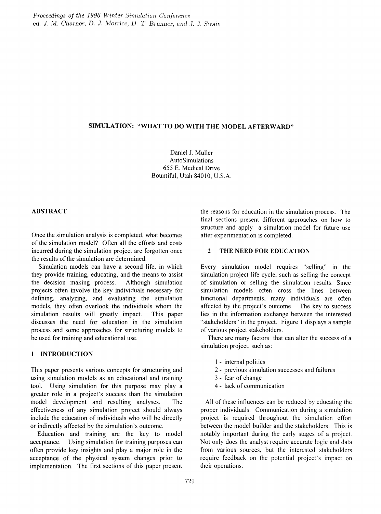#### SIMULATION: "WHAT TO DO WITH THE MODEL AFTERWARD"

Daniel J. Muller AutoSimulations 655 E. Medical Drive Bountiful, Utah 84010, U.S.A.

## ABSTRACT

Once the simulation analysis is completed, what becomes of the simulation model? Often all the efforts and costs incurred during the simulation project are forgotten once the results of the simulation are determined.

Simulation models can have a second life, in which they provide training, educating, and the means to assist the decision making process. Although simulation projects often involve the key individuals necessary for defming, analyzing, and evaluating the simulation models, they often overlook the individuals whom the simulation results will greatly impact. This paper discusses the need for education in the simulation process and some approaches for structuring models to be used for training and educational use.

## 1 INTRODUCTION

This paper presents various concepts for structuring and using simulation models as an educational and training tool. Using simulation for this purpose may play a greater role in a project's success than the simulation model development and resulting analyses. The effectiveness of any simulation project should always include the education of individuals who will be directly or indirectly affected by the simulation's outcome.

Education and training are the key to model acceptance. Using simulation for training purposes can often provide key insights and playa major role in the acceptance of the physical system changes prior to implementation. The first sections of this paper present the reasons for education in the simulation process. The final sections present different approaches on how to structure and apply a simulation model for future use after experimentation is completed.

#### 2 THE NEED FOR EDUCATION

Every simulation model requires "selling" in the simulation project life cycle, such as selling the concept of simulation or selling the simulation results. Since simulation models often cross the lines between functional departments, many individuals are often affected by the project's outcome. The key to success lies in the information exchange between the interested "stakeholders" in the project. Figure 1 displays a sample of various project stakeholders.

There are many factors that can alter the success of a simulation project, such as:

- 1 internal politics
- 2 previous simulation successes and failures
- 3 fear of change
- 4 lack of communication

All of these influences can be reduced by educating the proper individuals. Communication during a simulation project is required throughout the simulation effort between the model builder and the stakeholders. This is notably important during the early stages of a project. Not only does the analyst require accurate logic and data from various sources, but the interested stakeholders require feedback on the potential project's impact on their operations.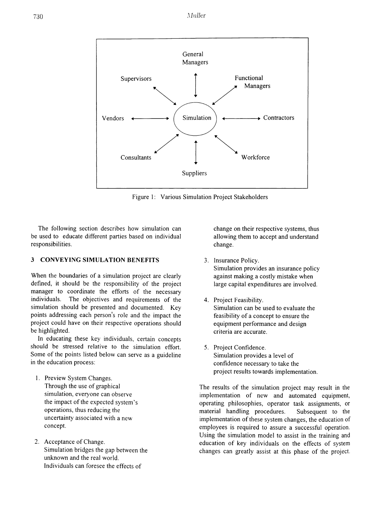

Figure 1: Various Simulation Project Stakeholders

The following section describes how simulation can be used to educate different parties based on individual responsibilities.

#### **3 CONVEYING SIMULATION BENEFITS**

When the boundaries of a simulation project are clearly defmed, it should be the responsibility of the project manager to coordinate the efforts of the necessary individuals. The objectives and requirements of the simulation should be presented and documented. Key points addressing each person's role and the impact the project could have on their respective operations should be highlighted.

In educating these key individuals, certain concepts should be stressed relative to the simulation effort. Some of the points listed below can serve as a guideline in the education process:

- 1. Preview System Changes. Through the use of graphical simulation, everyone can observe the impact of the expected system's operations, thus reducing the uncertainty associated with a new concept.
- 2. Acceptance of Change. Simulation bridges the gap between the unknown and the real world. Individuals can foresee the effects of

change on their respective systems, thus allowing them to accept and understand change.

- 3. Insurance Policy. Simulation provides an insurance policy against making a costly mistake when large capital expenditures are involved.
- 4. Project Feasibility. Simulation can be used to evaluate the feasibility of a concept to ensure the equipment performance and design criteria are accurate.
- 5. Project Confidence. Simulation provides a level of confidence necessary to take the project results towards implementation.

The results of the simulation project may result in the implementation of new and automated equipment, operating philosophies, operator task assignments, or material handling procedures. Subsequent to the implementation of these system changes, the education of employees is required to assure a successful operation. Using the simulation model to assist in the training and education of key individuals on the effects of system changes can greatly assist at this phase of the project.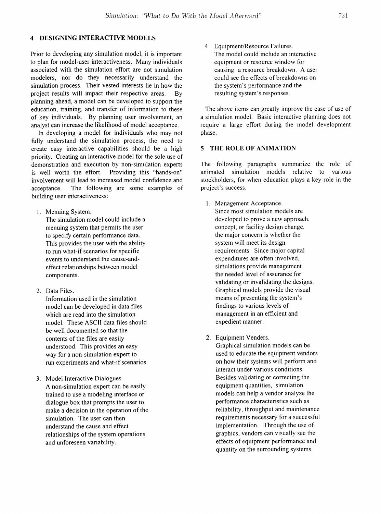# **4 DESIGNING INTERACTIVE MODELS**

Prior to developing any simulation model, it is important to plan for model-user interactiveness. Many individuals associated with the simulation effort are not simulation modelers, nor do they necessarily understand the simulation process. Their vested interests lie in how the project results will impact their respective areas. By planning ahead, a model can be developed to support the education, training, and transfer of information to these of key individuals. By planning user involvement, an analyst can increase the likelihood of model acceptance.

In developing a model for individuals who may not fully understand the simulation process, the need to create easy interactive capabilities should be a high priority. Creating an interactive model for the sole use of demonstration and execution by non-simulation experts is well worth the effort. Providing this "hands-on" involvement will lead to increased model confidence and acceptance. The following are some examples of building user interactiveness:

1. Menuing System.

The simulation model could include a menuing system that permits the user to specify certain performance data. This provides the user with the ability to run what-if scenarios for specific events to understand the cause-andeffect relationships between model components.

2. Data Files.

Information used in the simulation model can be developed in data files which are read into the simulation model. These ASCII data files should be well documented so that the contents of the files are easily understood. This provides an easy way for a non-simulation expert to run experiments and what-if scenarios.

3. Model Interactive Dialogues A non-simulation expert can be easily trained to use a modeling interface or dialogue box that prompts the user to make a decision in the operation of the simulation. The user can then understand the cause and effect relationships of the system operations and unforeseen variability.

4. Equipment/Resource Failures. The model could include an interactive equipment or resource window for causing a resource breakdown. A user could see the effects of breakdowns on the system's performance and the resulting system's responses.

The above items can greatly improve the ease of use of a simulation model. Basic interactive planning does not require a large effort during the model development phase.

#### **5 THE ROLE OF ANIMATION**

The following paragraphs summarize the role of animated simulation models relative to various stockholders, for when education plays a key role in the project's success.

- 1. Management Acceptance. Since most simulation models are developed to prove a new approach, concept, or facility design change, the major concern is whether the system will meet its design requirements. Since major capital expenditures are often involved, simulations provide management the needed level of assurance for validating or invalidating the designs. Graphical models provide the visual means of presenting the system's findings to various levels of management in an efficient and expedient manner.
- 2. Equipment Venders.

Graphical simulation models can be used to educate the equipment vendors on how their systems will perform and interact under various conditions. Besides validating or correcting the equipment quantities, simulation models can help a vendor analyze the performance characteristics such as reliability, throughput and maintenance requirements necessary for a successful implementation. Through the use of graphics, vendors can visually see the effects of equipment performance and quantity on the surrounding systems.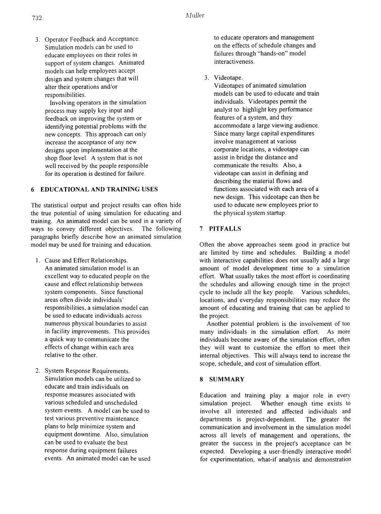3. Operator Feedback and Acceptance. Simulation models can be used to educate employees on their roles in support of system changes. Animated models can help employees accept design and system changes that will alter their operations and/or responsibilities.

Involving operators in the simulation process may supply key input and feedback on improving the system or identifying potential problems with the new concepts. This approach can only increase the acceptance of any new designs upon implementation at the shop floor level. A system that is not well received by the people responsible for its operation is destined for failure.

# 6 EDUCATIONAL AND TRAINING USES

The statistical output and project results can often hide the true potential of using simulation for educating and training. An animated model can be used in a variety of ways to convey different objectives. The following paragraphs briefly describe how an animated simulation model may be used for training and education.

- 1. Cause and Effect Relationships. An animated simulation model is an excellent way to educated people on the cause and effect relationship between system components. Since functional areas often divide individuals' responsibilities, a simulation model can be used to educate individuals across numerous physical boundaries to assist in facility improvements. This provides a quick way to communicate the effects of change within each area relative to the other.
- 2. System Response Requirements. Simulation models can be utilized to educate and train individuals on response measures assoc iated with various scheduled and unscheduled system events. A model can be used to test various preventive maintenance plans to help minimize system and equipment downtime. Also, simulation can be used to evaluate the best response during equipment failures events. An animated model can be used

to educate operators and management on the effects of schedule changes and failures through "hands-on" model interactiveness.

3. Videotape.

Videotapes of animated simulation models can be used to educate and train individuals. Videotapes pennit the analyst to highlight key performance features of a system, and they accommodate a large viewing audience. Since many large capital expenditures involve management at various corporate locations, a videotape can assist in bridge the distance and communicate the results. Also, a videotape can assist in defming and describing the material flows and functions associated with each area of a new design. This videotape can then be used to educate new employees prior to the physical system startup.

### 7 PITFALLS

Often the above approaches seem good in practice but are limited by time and schedules. Building a model with interactive capabilities does not usually add a large amount of model development time to a simulation effort. What usually takes the most effort is coordinating the schedules and allowing enough time in the project cycle to include all the key people. Various schedules, locations, and everyday responsibilities may reduce the amount of educating and training that can be applied to the project.

Another potential problem is the involvement of too many individuals in the simulation effort. As more individuals become aware of the simulation effort, often they will want to customize the effort to meet their internal objectives. This will always tend to increase the scope, schedule, and cost of simulation effort.

#### 8 SUMMARY

Education and training play a major role in every simulation project. Whether enough time exists to involve all interested and affected individuals and departments is project-dependent. The greater the communication and involvement in the simulation model across all levels of management and operations, the greater the success in the project's acceptance can be expected. Developing a user-friendly interactive model for experimentation, what-if analysis and demonstration